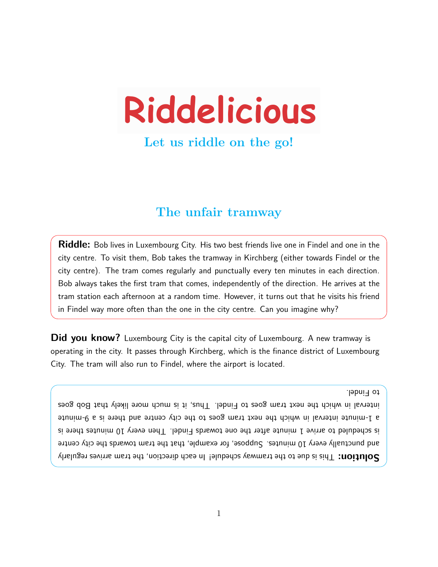# Riddelicious

**Let us riddle on the go!**

## **The unfair tramway**

**Riddle:** Bob lives in Luxembourg City. His two best friends live one in Findel and one in the city centre. To visit them, Bob takes the tramway in Kirchberg (either towards Findel or the city centre). The tram comes regularly and punctually every ten minutes in each direction. Bob always takes the first tram that comes, independently of the direction. He arrives at the tram station each afternoon at a random time. However, it turns out that he visits his friend in Findel way more often than the one in the city centre. Can you imagine why?

**Did you know?** Luxembourg City is the capital city of Luxembourg. A new tramway is operating in the city. It passes through Kirchberg, which is the finance district of Luxembourg City. The tram will also run to Findel, where the airport is located.

#### to Findel.

**Toiution:** I his is due to the tramway schedule! In each direction, the tram arrives regularly and punctually every 10 minutes. Suppose, for example, that the tram towards the city centre is scheduled to arrive 1 minute after the one towards Findel. Then every <sup>10</sup> minutes there is a 1-minute interval in which the next tram goes to the city centre and there is a 9-minute interval in which the next tram goes to Findel. Thus, it is much more likely that Bob goes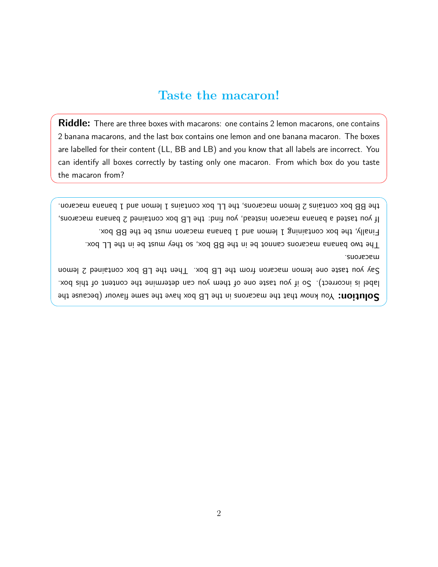#### **Taste the macaron!**

**Riddle:** There are three boxes with macarons: one contains 2 lemon macarons, one contains 2 banana macarons, and the last box contains one lemon and one banana macaron. The boxes are labelled for their content (LL, BB and LB) and you know that all labels are incorrect. You can identify all boxes correctly by tasting only one macaron. From which box do you taste the macaron from?

macarons. The two banana macarons cannot be in the BB box, so they must be in the LL box. Finally, the box containing 1 lemon and 1 banana macaron must be the BB box. If you tasted a banana macaron instead, you find: the LB box contained 2 banana macarons, the BB box contains 2 lemon macarons, the LL box contains 1 lemon and 1 banana macaron.

Solution: You know that the macarons in the LB box have the same flavour (because the label is incorrect). So if you taste one of them you can determine the content of this box. Say you taste one lemon macaron from the LB box. Then the LB box contained 2 lemon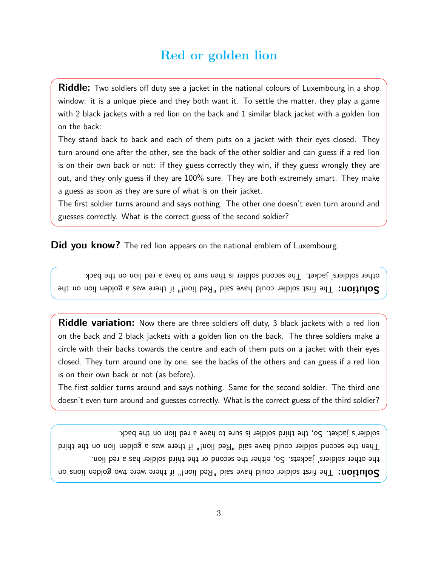# **Red or golden lion**

**Riddle:** Two soldiers off duty see a jacket in the national colours of Luxembourg in a shop window: it is a unique piece and they both want it. To settle the matter, they play a game with 2 black jackets with a red lion on the back and 1 similar black jacket with a golden lion on the back:

They stand back to back and each of them puts on a jacket with their eyes closed. They turn around one after the other, see the back of the other soldier and can guess if a red lion is on their own back or not: if they guess correctly they win, if they guess wrongly they are out, and they only guess if they are 100% sure. They are both extremely smart. They make a guess as soon as they are sure of what is on their jacket.

The first soldier turns around and says nothing. The other one doesn't even turn around and guesses correctly. What is the correct guess of the second soldier?

**Did you know?** The red lion appears on the national emblem of Luxembourg.

**Solution: The first soldier could have said "Bool" if there was a golden lion on the** other soldiers' jacket. The second soldier is then sure to have <sup>a</sup> red lion on the back.

**Riddle variation:** Now there are three soldiers off duty, 3 black jackets with a red lion on the back and 2 black jackets with a golden lion on the back. The three soldiers make a circle with their backs towards the centre and each of them puts on a jacket with their eyes closed. They turn around one by one, see the backs of the others and can guess if a red lion is on their own back or not (as before).

The first soldier turns around and says nothing. Same for the second soldier. The third one doesn't even turn around and guesses correctly. What is the correct guess of the third soldier?

Solution: The first soldier could have said "Red lion!" if there were two golden lions on the other soldiers' jackets. So, either the second or the third soldier has <sup>a</sup> red lion. Then the second soldier could have said "beng lion!" if there was a golden lion on the third soldier's jacket. So, the third soldier is sure to have a red lion on the back.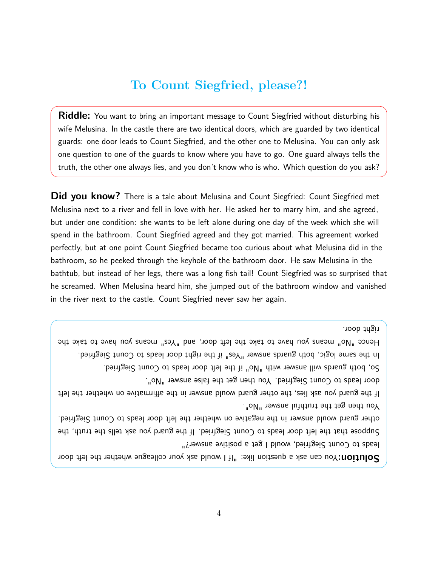## **To Count Siegfried, please?!**

**Riddle:** You want to bring an important message to Count Siegfried without disturbing his wife Melusina. In the castle there are two identical doors, which are guarded by two identical guards: one door leads to Count Siegfried, and the other one to Melusina. You can only ask one question to one of the guards to know where you have to go. One guard always tells the truth, the other one always lies, and you don't know who is who. Which question do you ask?

**Did you know?** There is a tale about Melusina and Count Siegfried: Count Siegfried met Melusina next to a river and fell in love with her. He asked her to marry him, and she agreed, but under one condition: she wants to be left alone during one day of the week which she will spend in the bathroom. Count Siegfried agreed and they got married. This agreement worked perfectly, but at one point Count Siegfried became too curious about what Melusina did in the bathroom, so he peeked through the keyhole of the bathroom door. He saw Melusina in the bathtub, but instead of her legs, there was a long fish tail! Count Siegfried was so surprised that he screamed. When Melusina heard him, she jumped out of the bathroom window and vanished in the river next to the castle. Count Siegfried never saw her again.

right door.

door leads to Count Siegfried. You then get the false answer "No". So, both guards will anwer with "No" if the left door leads to Count Siegfried. In the same logic, both guards answer "Yes" if the right door leads to Count Siegfried. Hence "No" means you have to take the left door, and "est" means you have to take the

You then get the truthful answer "No". If the guard you ask lies, the other guard would answer in the affirmative on whether the left

leads to Count Siegfried, would I get <sup>a</sup> positive answer?" Suppose that the left door leads to Count Siegfried. If the guard you ask tells the truth, the other guard would answer in the negative on whether the left door leads to Count Siegfried.

Your can sek a duestion like: "If I would ask your colleague whether the left door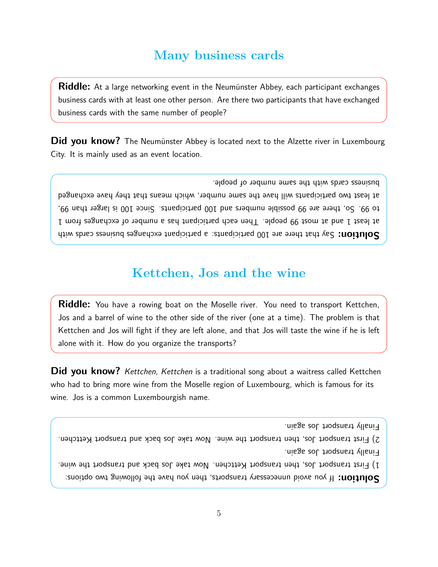## **Many business cards**

**Riddle:** At a large networking event in the Neumünster Abbey, each participant exchanges business cards with at least one other person. Are there two participants that have exchanged business cards with the same number of people?

**Did you know?** The Neumünster Abbey is located next to the Alzette river in Luxembourg City. It is mainly used as an event location.

business cards with the same number of people.

Solution: Say that there are 100 participants: a participant exchanges business cards with at least 1 and at most 99 people. I hen each participant has a number of exchanges from 1 to 99. So, there are 99 possible numbers and 100 participants. Since 100 is larger than 99, at least two participants will have the same number, which means that they have exchanged

#### **Kettchen, Jos and the wine**

**Riddle:** You have a rowing boat on the Moselle river. You need to transport Kettchen, Jos and a barrel of wine to the other side of the river (one at a time). The problem is that Kettchen and Jos will fight if they are left alone, and that Jos will taste the wine if he is left alone with it. How do you organize the transports?

**Did you know?** Kettchen, Kettchen is a traditional song about a waitress called Kettchen who had to bring more wine from the Moselle region of Luxembourg, which is famous for its wine. Jos is a common Luxembourgish name.

Finally transport Jos again.

Finally transport Jos again. 2) First transport Jos, then transport the wine. Now take Jos back and transport Kettchen.

**IF YOUTHERS** If you avoid unnecessed transports, then you have the following two options: 1) First transport Jos, then transport Kettchen. Now take Jos back and transport the wine.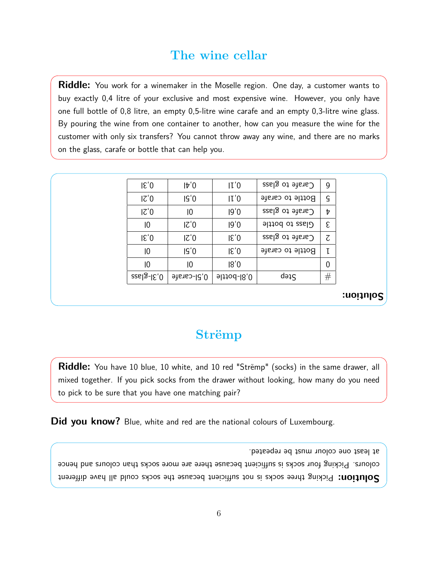## **The wine cellar**

**Riddle:** You work for a winemaker in the Moselle region. One day, a customer wants to buy exactly 0,4 litre of your exclusive and most expensive wine. However, you only have one full bottle of 0,8 litre, an empty 0,5-litre wine carafe and an empty 0,3-litre wine glass. By pouring the wine from one container to another, how can you measure the wine for the customer with only six transfers? You cannot throw away any wine, and there are no marks on the glass, carafe or bottle that can help you.

| 15,0                 | $\mu,0$         | II'O              | Carafe to glass  | 9  |
|----------------------|-----------------|-------------------|------------------|----|
| C'0                  | $\overline{15}$ | II'O              | Bottle to carafe | G  |
| Z'0                  | 10              | 19'0              | Carafe to glass  | t  |
| 10                   | IZ'O            | 19'0              | Glass to bottle  | ε  |
| 15,0                 | IZ'O            | Iε'0              | Carafe to glass  | 7. |
| 10                   | $\overline{15}$ | E'0               | Bottle to carafe | τ  |
| 10                   | I٥              | 18,0              |                  | O  |
| $\text{csals-IC}$ ,0 | 9,5l-carafe     | $9 110d$ - $ 8,0$ | Step             | #  |

**Solution:**

## **Strëmp**

**Riddle:** You have 10 blue, 10 white, and 10 red "Strëmp" (socks) in the same drawer, all mixed together. If you pick socks from the drawer without looking, how many do you need to pick to be sure that you have one matching pair?

**Did you know?** Blue, white and red are the national colours of Luxembourg.

at least one colour must be repeated.

**POINITION:** Picking three socks is not sufficient because the socks could all have different colonts. Picking four socks is sufficient because there are more socks than colours and hence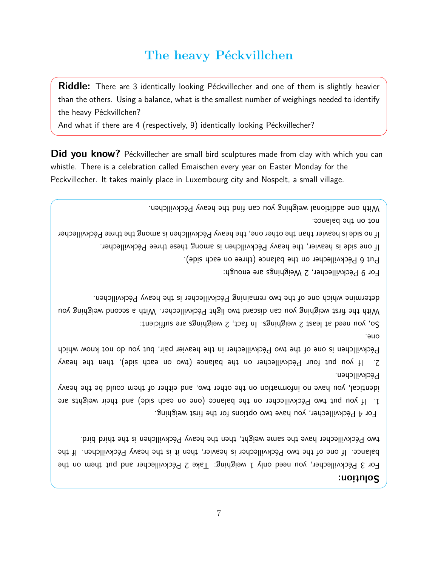# **The heavy Péckvillchen**

**Riddle:** There are 3 identically looking Péckvillecher and one of them is slightly heavier than the others. Using a balance, what is the smallest number of weighings needed to identify the heavy Péckvillchen?

And what if there are 4 (respectively, 9) identically looking Péckvillecher?

**Did you know?** Péckvillecher are small bird sculptures made from clay with which you can whistle. There is a celebration called Emaischen every year on Easter Monday for the Peckvillecher. It takes mainly place in Luxembourg city and Nospelt, a small village.

> not on the balance. With one additional weighing you can find the heavy Péckvillchen.

If one side is heavier, the heavy Péckvillchen is among these three Péckvillecher. If no side is heavier than the other one, the heavy Péckvillchen is among the three Péckvillecher

Put <sup>6</sup> Péckvillecher on the balance (three on each side).

For <sup>9</sup> Péckvillecher, 2 Weighings are enough:

determine which one of the two remaining Péckvillecher is the heavy Péckvillchen.

So, you need at least 2 weighings. In fact, 2 weighings are sufficient: With the first weighing you can discard two light Péckvillecher. With <sup>a</sup> second weighing you

one.

Péckvillchen. 2. If you put four Péckvillecher on the balance (two on each side), then the heavy Péckvillchen is one of the two Péckvillecher in the heavier pair, but you do not know which

1. If you put two Péckvillecher on the balance (one on each side) and their weights are identical, you have no information on the other two, and either of them could be the heavy

For 4 Péckvillecher, you have two options for the first weighing.

For <sup>3</sup> Péckvillecher, you need only 1 weighing: Take 2 Péckvillecher and put them on the balance. If one of the two Péckvillecher is heavier, then it is the heavy Péckvillchen. If the two Péckvillecher have the same weight, then the heavy Péckvillchen is the third bird.

#### **Solution:**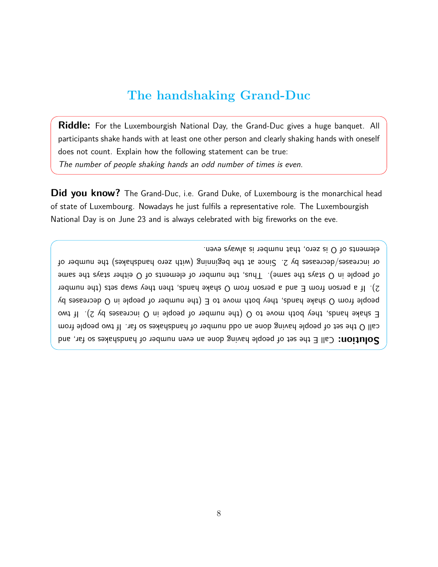#### **The handshaking Grand-Duc**

**Riddle:** For the Luxembourgish National Day, the Grand-Duc gives a huge banquet. All participants shake hands with at least one other person and clearly shaking hands with oneself does not count. Explain how the following statement can be true: The number of people shaking hands an odd number of times is even.

**Did you know?** The Grand-Duc, i.e. Grand Duke, of Luxembourg is the monarchical head of state of Luxembourg. Nowadays he just fulfils a representative role. The Luxembourgish National Day is on June 23 and is always celebrated with big fireworks on the eve.

**Calution:** Call E the set of people having done an even number of handshakes so tar, and call O the set of people having done an odd number of handshakes so far. If two people from E shake hands, they both move to  $O$  (the number of people in  $O$  increases by 2). If two people from U shake hands, they both move to E (the number of people in U decreases by 2). It a person from E and a person from  $\Omega$  shake hands, then they swap sets (the number of people in O stays the same). I hus, the number of elements of O either stays the same or increases/decreases by 2. Since at the beginning (with zero handshakes) the number of elements of O is zero, that number is always even.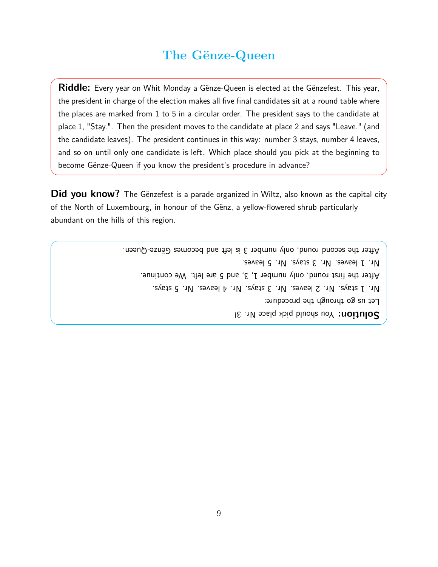# **The Gënze-Queen**

**Riddle:** Every year on Whit Monday a Gënze-Queen is elected at the Gënzefest. This year, the president in charge of the election makes all five final candidates sit at a round table where the places are marked from 1 to 5 in a circular order. The president says to the candidate at place 1, "Stay.". Then the president moves to the candidate at place 2 and says "Leave." (and the candidate leaves). The president continues in this way: number 3 stays, number 4 leaves, and so on until only one candidate is left. Which place should you pick at the beginning to become Gënze-Queen if you know the president's procedure in advance?

**Did you know?** The Gënzefest is a parade organized in Wiltz, also known as the capital city of the North of Luxembourg, in honour of the Gënz, a yellow-flowered shrub particularly abundant on the hills of this region.

> **Solution:** You should pick place Nr. 3! Fet na go through the procedure: Nr. 1 stays. Nr. 2 leaves. Nr. <sup>3</sup> stays. Nr. 4 leaves. Nr. <sup>5</sup> stays. After the first round, only number 1, 3, and <sup>5</sup> are left. We continue. Nr. 1 leaves. Nr. <sup>3</sup> stays. Nr. <sup>5</sup> leaves. After the second round, only number 3 is left and becomes Genze-Queen.